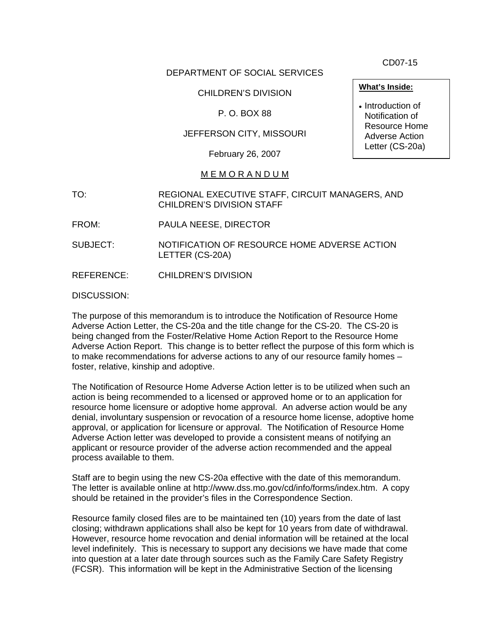CD07-15

# DEPARTMENT OF SOCIAL SERVICES

# CHILDREN'S DIVISION

## P. O. BOX 88

## JEFFERSON CITY, MISSOURI

February 26, 2007

### M E M O R A N D U M

- TO: REGIONAL EXECUTIVE STAFF, CIRCUIT MANAGERS, AND CHILDREN'S DIVISION STAFF
- FROM: PAULA NEESE, DIRECTOR
- SUBJECT: NOTIFICATION OF RESOURCE HOME ADVERSE ACTION LETTER (CS-20A)

REFERENCE: CHILDREN'S DIVISION

DISCUSSION:

The purpose of this memorandum is to introduce the Notification of Resource Home Adverse Action Letter, the CS-20a and the title change for the CS-20. The CS-20 is being changed from the Foster/Relative Home Action Report to the Resource Home Adverse Action Report. This change is to better reflect the purpose of this form which is to make recommendations for adverse actions to any of our resource family homes – foster, relative, kinship and adoptive.

The Notification of Resource Home Adverse Action letter is to be utilized when such an action is being recommended to a licensed or approved home or to an application for resource home licensure or adoptive home approval. An adverse action would be any denial, involuntary suspension or revocation of a resource home license, adoptive home approval, or application for licensure or approval. The Notification of Resource Home Adverse Action letter was developed to provide a consistent means of notifying an applicant or resource provider of the adverse action recommended and the appeal process available to them.

Staff are to begin using the new CS-20a effective with the date of this memorandum. The letter is available online at http://www.dss.mo.gov/cd/info/forms/index.htm. A copy should be retained in the provider's files in the Correspondence Section.

Resource family closed files are to be maintained ten (10) years from the date of last closing; withdrawn applications shall also be kept for 10 years from date of withdrawal. However, resource home revocation and denial information will be retained at the local level indefinitely. This is necessary to support any decisions we have made that come into question at a later date through sources such as the Family Care Safety Registry (FCSR). This information will be kept in the Administrative Section of the licensing

• Introduction of Notification of Resource Home

Adverse Action Letter (CS-20a)

**What's Inside:**